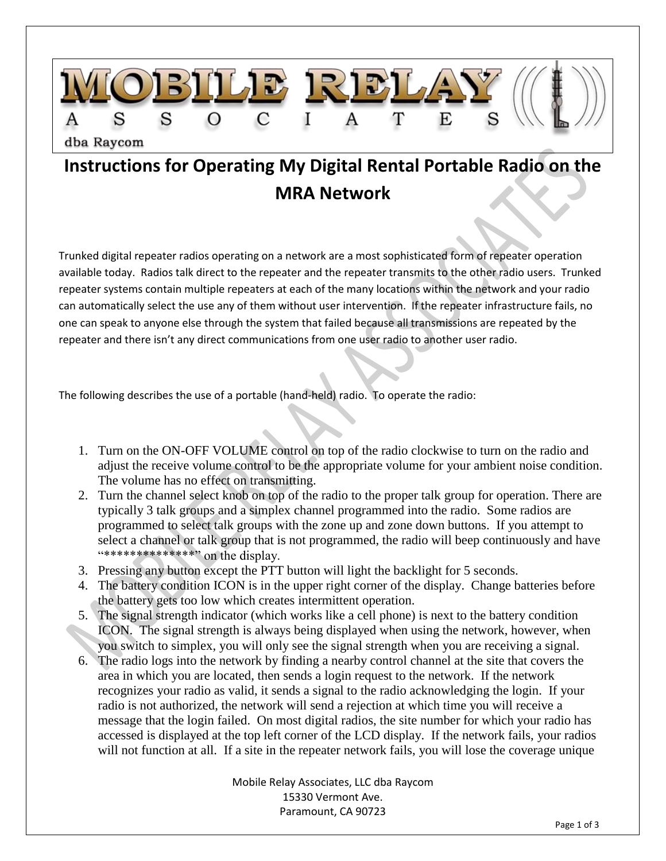

## **Instructions for Operating My Digital Rental Portable Radio on the MRA Network**

Trunked digital repeater radios operating on a network are a most sophisticated form of repeater operation available today. Radios talk direct to the repeater and the repeater transmits to the other radio users. Trunked repeater systems contain multiple repeaters at each of the many locations within the network and your radio can automatically select the use any of them without user intervention. If the repeater infrastructure fails, no one can speak to anyone else through the system that failed because all transmissions are repeated by the repeater and there isn't any direct communications from one user radio to another user radio.

The following describes the use of a portable (hand-held) radio. To operate the radio:

- 1. Turn on the ON-OFF VOLUME control on top of the radio clockwise to turn on the radio and adjust the receive volume control to be the appropriate volume for your ambient noise condition. The volume has no effect on transmitting.
- 2. Turn the channel select knob on top of the radio to the proper talk group for operation. There are typically 3 talk groups and a simplex channel programmed into the radio. Some radios are programmed to select talk groups with the zone up and zone down buttons. If you attempt to select a channel or talk group that is not programmed, the radio will beep continuously and have "\*\*\*\*\*\*\*\*\*\*\*\*\*\*" on the display.
- 3. Pressing any button except the PTT button will light the backlight for 5 seconds.
- 4. The battery condition ICON is in the upper right corner of the display. Change batteries before the battery gets too low which creates intermittent operation.
- 5. The signal strength indicator (which works like a cell phone) is next to the battery condition ICON. The signal strength is always being displayed when using the network, however, when you switch to simplex, you will only see the signal strength when you are receiving a signal.
- 6. The radio logs into the network by finding a nearby control channel at the site that covers the area in which you are located, then sends a login request to the network. If the network recognizes your radio as valid, it sends a signal to the radio acknowledging the login. If your radio is not authorized, the network will send a rejection at which time you will receive a message that the login failed. On most digital radios, the site number for which your radio has accessed is displayed at the top left corner of the LCD display. If the network fails, your radios will not function at all. If a site in the repeater network fails, you will lose the coverage unique

Mobile Relay Associates, LLC dba Raycom 15330 Vermont Ave. Paramount, CA 90723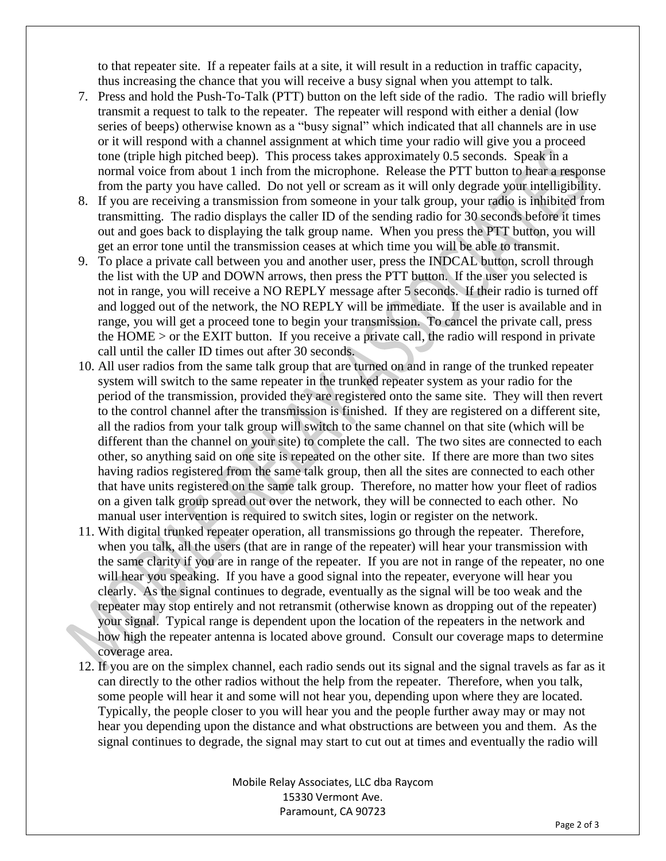to that repeater site. If a repeater fails at a site, it will result in a reduction in traffic capacity, thus increasing the chance that you will receive a busy signal when you attempt to talk.

- 7. Press and hold the Push-To-Talk (PTT) button on the left side of the radio. The radio will briefly transmit a request to talk to the repeater. The repeater will respond with either a denial (low series of beeps) otherwise known as a "busy signal" which indicated that all channels are in use or it will respond with a channel assignment at which time your radio will give you a proceed tone (triple high pitched beep). This process takes approximately 0.5 seconds. Speak in a normal voice from about 1 inch from the microphone. Release the PTT button to hear a response from the party you have called. Do not yell or scream as it will only degrade your intelligibility.
- 8. If you are receiving a transmission from someone in your talk group, your radio is inhibited from transmitting. The radio displays the caller ID of the sending radio for 30 seconds before it times out and goes back to displaying the talk group name. When you press the PTT button, you will get an error tone until the transmission ceases at which time you will be able to transmit.
- 9. To place a private call between you and another user, press the INDCAL button, scroll through the list with the UP and DOWN arrows, then press the PTT button. If the user you selected is not in range, you will receive a NO REPLY message after 5 seconds. If their radio is turned off and logged out of the network, the NO REPLY will be immediate. If the user is available and in range, you will get a proceed tone to begin your transmission. To cancel the private call, press the HOME > or the EXIT button. If you receive a private call, the radio will respond in private call until the caller ID times out after 30 seconds.
- 10. All user radios from the same talk group that are turned on and in range of the trunked repeater system will switch to the same repeater in the trunked repeater system as your radio for the period of the transmission, provided they are registered onto the same site. They will then revert to the control channel after the transmission is finished. If they are registered on a different site, all the radios from your talk group will switch to the same channel on that site (which will be different than the channel on your site) to complete the call. The two sites are connected to each other, so anything said on one site is repeated on the other site. If there are more than two sites having radios registered from the same talk group, then all the sites are connected to each other that have units registered on the same talk group. Therefore, no matter how your fleet of radios on a given talk group spread out over the network, they will be connected to each other. No manual user intervention is required to switch sites, login or register on the network.
- 11. With digital trunked repeater operation, all transmissions go through the repeater. Therefore, when you talk, all the users (that are in range of the repeater) will hear your transmission with the same clarity if you are in range of the repeater. If you are not in range of the repeater, no one will hear you speaking. If you have a good signal into the repeater, everyone will hear you clearly. As the signal continues to degrade, eventually as the signal will be too weak and the repeater may stop entirely and not retransmit (otherwise known as dropping out of the repeater) your signal. Typical range is dependent upon the location of the repeaters in the network and how high the repeater antenna is located above ground. Consult our coverage maps to determine coverage area.
- 12. If you are on the simplex channel, each radio sends out its signal and the signal travels as far as it can directly to the other radios without the help from the repeater. Therefore, when you talk, some people will hear it and some will not hear you, depending upon where they are located. Typically, the people closer to you will hear you and the people further away may or may not hear you depending upon the distance and what obstructions are between you and them. As the signal continues to degrade, the signal may start to cut out at times and eventually the radio will

Mobile Relay Associates, LLC dba Raycom 15330 Vermont Ave. Paramount, CA 90723